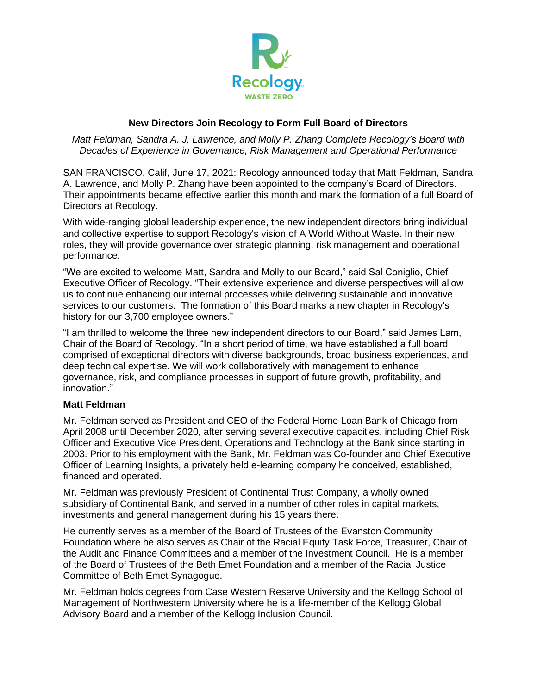

# **New Directors Join Recology to Form Full Board of Directors**

*Matt Feldman, Sandra A. J. Lawrence, and Molly P. Zhang Complete Recology's Board with Decades of Experience in Governance, Risk Management and Operational Performance*

SAN FRANCISCO, Calif, June 17, 2021: Recology announced today that Matt Feldman, Sandra A. Lawrence, and Molly P. Zhang have been appointed to the company's Board of Directors. Their appointments became effective earlier this month and mark the formation of a full Board of Directors at Recology.

With wide-ranging global leadership experience, the new independent directors bring individual and collective expertise to support Recology's vision of A World Without Waste. In their new roles, they will provide governance over strategic planning, risk management and operational performance.

"We are excited to welcome Matt, Sandra and Molly to our Board," said Sal Coniglio, Chief Executive Officer of Recology. "Their extensive experience and diverse perspectives will allow us to continue enhancing our internal processes while delivering sustainable and innovative services to our customers. The formation of this Board marks a new chapter in Recology's history for our 3,700 employee owners."

"I am thrilled to welcome the three new independent directors to our Board," said James Lam, Chair of the Board of Recology. "In a short period of time, we have established a full board comprised of exceptional directors with diverse backgrounds, broad business experiences, and deep technical expertise. We will work collaboratively with management to enhance governance, risk, and compliance processes in support of future growth, profitability, and innovation."

## **Matt Feldman**

Mr. Feldman served as President and CEO of the Federal Home Loan Bank of Chicago from April 2008 until December 2020, after serving several executive capacities, including Chief Risk Officer and Executive Vice President, Operations and Technology at the Bank since starting in 2003. Prior to his employment with the Bank, Mr. Feldman was Co-founder and Chief Executive Officer of Learning Insights, a privately held e-learning company he conceived, established, financed and operated.

Mr. Feldman was previously President of Continental Trust Company, a wholly owned subsidiary of Continental Bank, and served in a number of other roles in capital markets, investments and general management during his 15 years there.

He currently serves as a member of the Board of Trustees of the Evanston Community Foundation where he also serves as Chair of the Racial Equity Task Force, Treasurer, Chair of the Audit and Finance Committees and a member of the Investment Council. He is a member of the Board of Trustees of the Beth Emet Foundation and a member of the Racial Justice Committee of Beth Emet Synagogue.

Mr. Feldman holds degrees from Case Western Reserve University and the Kellogg School of Management of Northwestern University where he is a life-member of the Kellogg Global Advisory Board and a member of the Kellogg Inclusion Council.